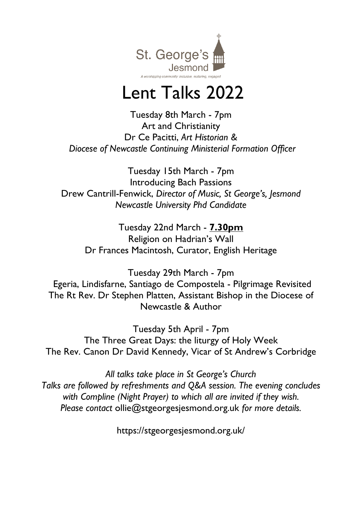

# Lent Talks 2022

Tuesday 8th March - 7pm Art and Christianity Dr Ce Pacitti, *Art Historian & Diocese of Newcastle Continuing Ministerial Formation Officer*

Tuesday 15th March - 7pm Introducing Bach Passions Drew Cantrill-Fenwick, *Director of Music, St George's, Jesmond Newcastle University Phd Candidate*

Tuesday 22nd March - **7.30pm** Religion on Hadrian's Wall Dr Frances Macintosh, Curator, English Heritage

Tuesday 29th March - 7pm Egeria, Lindisfarne, Santiago de Compostela - Pilgrimage Revisited The Rt Rev. Dr Stephen Platten, Assistant Bishop in the Diocese of Newcastle & Author

Tuesday 5th April - 7pm The Three Great Days: the liturgy of Holy Week The Rev. Canon Dr David Kennedy, Vicar of St Andrew's Corbridge

*All talks take place in St George's Church Talks are followed by refreshments and Q&A session. The evening concludes with Compline (Night Prayer) to which all are invited if they wish. Please contact* ollie@stgeorgesjesmond.org.uk *for more details.*

https://stgeorgesjesmond.org.uk/